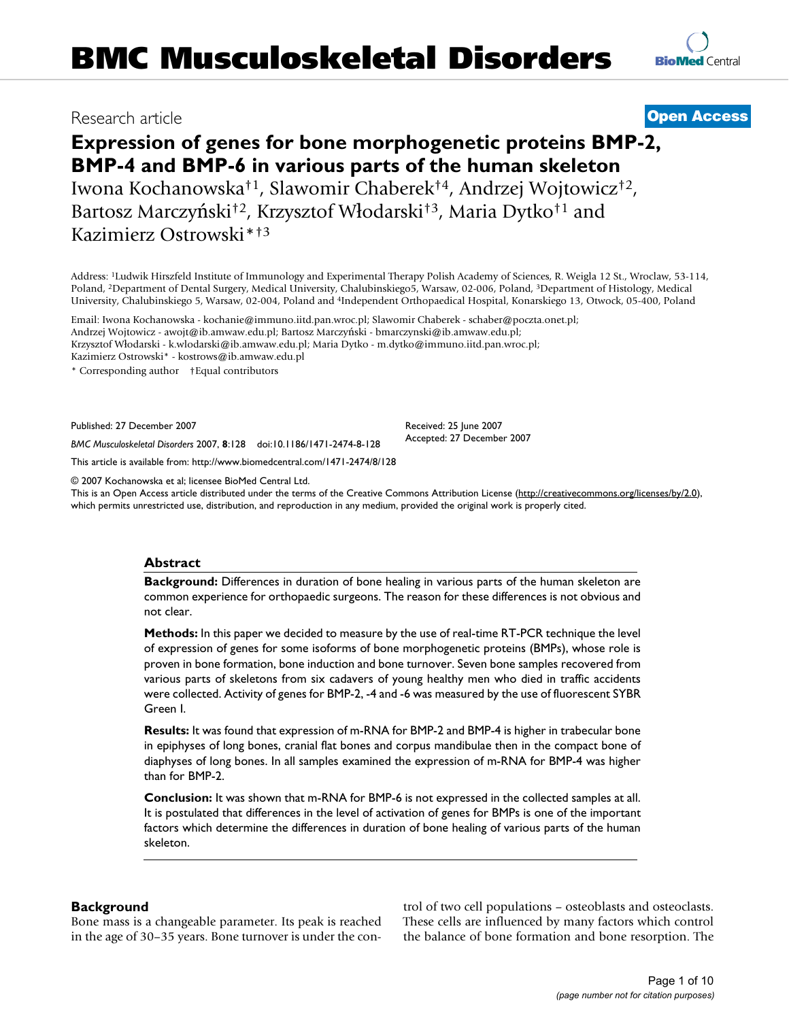# Research article **[Open Access](http://www.biomedcentral.com/info/about/charter/)**

# **Expression of genes for bone morphogenetic proteins BMP-2, BMP-4 and BMP-6 in various parts of the human skeleton** Iwona Kochanowska†1, Slawomir Chaberek†4, Andrzej Wojtowicz†2, Bartosz Marczyński†2, Krzysztof Włodarski†3, Maria Dytko†1 and Kazimierz Ostrowski\*†3

Address: 1Ludwik Hirszfeld Institute of Immunology and Experimental Therapy Polish Academy of Sciences, R. Weigla 12 St., Wroclaw, 53-114, Poland, 2Department of Dental Surgery, Medical University, Chalubinskiego5, Warsaw, 02-006, Poland, 3Department of Histology, Medical University, Chalubinskiego 5, Warsaw, 02-004, Poland and 4Independent Orthopaedical Hospital, Konarskiego 13, Otwock, 05-400, Poland

Email: Iwona Kochanowska - kochanie@immuno.iitd.pan.wroc.pl; Slawomir Chaberek - schaber@poczta.onet.pl; Andrzej Wojtowicz - awojt@ib.amwaw.edu.pl; Bartosz Marczyński - bmarczynski@ib.amwaw.edu.pl; Krzysztof Włodarski - k.wlodarski@ib.amwaw.edu.pl; Maria Dytko - m.dytko@immuno.iitd.pan.wroc.pl; Kazimierz Ostrowski\* - kostrows@ib.amwaw.edu.pl

\* Corresponding author †Equal contributors

Published: 27 December 2007

Received: 25 June 2007 Accepted: 27 December 2007

*BMC Musculoskeletal Disorders* 2007, **8**:128 doi:10.1186/1471-2474-8-128 [This article is available from: http://www.biomedcentral.com/1471-2474/8/128](http://www.biomedcentral.com/1471-2474/8/128)

© 2007 Kochanowska et al; licensee BioMed Central Ltd.

This is an Open Access article distributed under the terms of the Creative Commons Attribution License [\(http://creativecommons.org/licenses/by/2.0\)](http://creativecommons.org/licenses/by/2.0), which permits unrestricted use, distribution, and reproduction in any medium, provided the original work is properly cited.

### **Abstract**

**Background:** Differences in duration of bone healing in various parts of the human skeleton are common experience for orthopaedic surgeons. The reason for these differences is not obvious and not clear.

**Methods:** In this paper we decided to measure by the use of real-time RT-PCR technique the level of expression of genes for some isoforms of bone morphogenetic proteins (BMPs), whose role is proven in bone formation, bone induction and bone turnover. Seven bone samples recovered from various parts of skeletons from six cadavers of young healthy men who died in traffic accidents were collected. Activity of genes for BMP-2, -4 and -6 was measured by the use of fluorescent SYBR Green I.

**Results:** It was found that expression of m-RNA for BMP-2 and BMP-4 is higher in trabecular bone in epiphyses of long bones, cranial flat bones and corpus mandibulae then in the compact bone of diaphyses of long bones. In all samples examined the expression of m-RNA for BMP-4 was higher than for BMP-2.

**Conclusion:** It was shown that m-RNA for BMP-6 is not expressed in the collected samples at all. It is postulated that differences in the level of activation of genes for BMPs is one of the important factors which determine the differences in duration of bone healing of various parts of the human skeleton.

# **Background**

Bone mass is a changeable parameter. Its peak is reached in the age of 30–35 years. Bone turnover is under the control of two cell populations – osteoblasts and osteoclasts. These cells are influenced by many factors which control the balance of bone formation and bone resorption. The

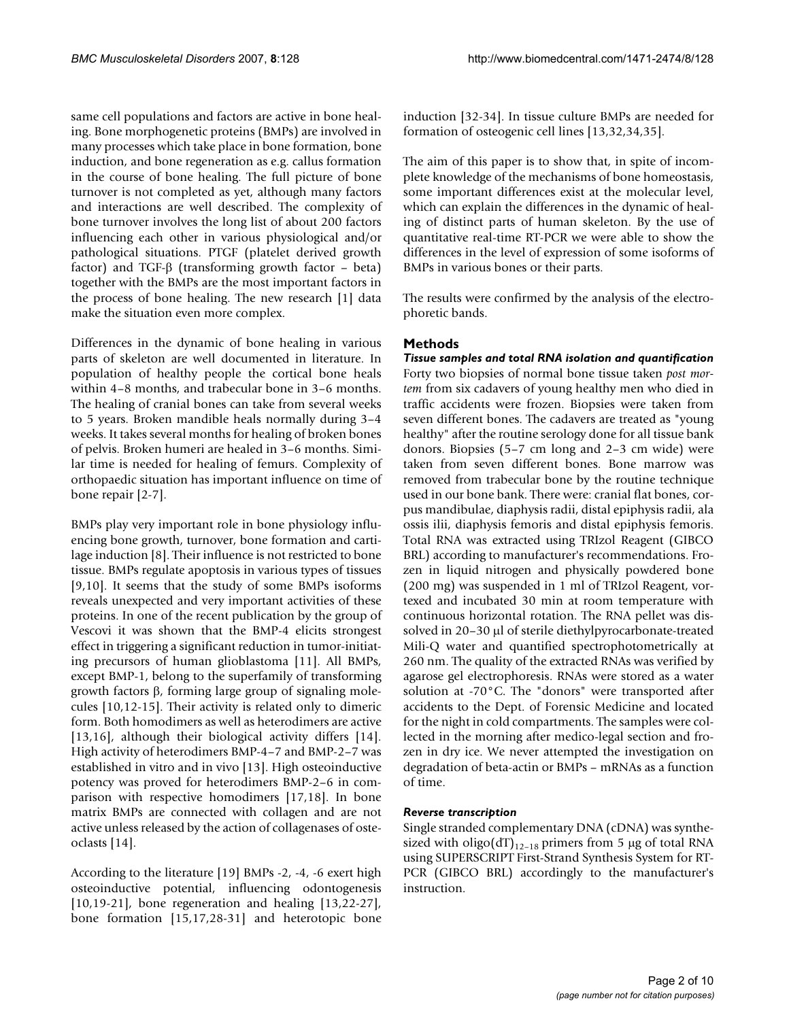same cell populations and factors are active in bone healing. Bone morphogenetic proteins (BMPs) are involved in many processes which take place in bone formation, bone induction, and bone regeneration as e.g. callus formation in the course of bone healing. The full picture of bone turnover is not completed as yet, although many factors and interactions are well described. The complexity of bone turnover involves the long list of about 200 factors influencing each other in various physiological and/or pathological situations. PTGF (platelet derived growth factor) and TGF-β (transforming growth factor – beta) together with the BMPs are the most important factors in the process of bone healing. The new research [1] data make the situation even more complex.

Differences in the dynamic of bone healing in various parts of skeleton are well documented in literature. In population of healthy people the cortical bone heals within 4–8 months, and trabecular bone in 3–6 months. The healing of cranial bones can take from several weeks to 5 years. Broken mandible heals normally during 3–4 weeks. It takes several months for healing of broken bones of pelvis. Broken humeri are healed in 3–6 months. Similar time is needed for healing of femurs. Complexity of orthopaedic situation has important influence on time of bone repair [2-7].

BMPs play very important role in bone physiology influencing bone growth, turnover, bone formation and cartilage induction [8]. Their influence is not restricted to bone tissue. BMPs regulate apoptosis in various types of tissues [9,10]. It seems that the study of some BMPs isoforms reveals unexpected and very important activities of these proteins. In one of the recent publication by the group of Vescovi it was shown that the BMP-4 elicits strongest effect in triggering a significant reduction in tumor-initiating precursors of human glioblastoma [11]. All BMPs, except BMP-1, belong to the superfamily of transforming growth factors β, forming large group of signaling molecules [10,12-15]. Their activity is related only to dimeric form. Both homodimers as well as heterodimers are active [13,16], although their biological activity differs [14]. High activity of heterodimers BMP-4–7 and BMP-2–7 was established in vitro and in vivo [13]. High osteoinductive potency was proved for heterodimers BMP-2–6 in comparison with respective homodimers [17,18]. In bone matrix BMPs are connected with collagen and are not active unless released by the action of collagenases of osteoclasts [14].

According to the literature [19] BMPs -2, -4, -6 exert high osteoinductive potential, influencing odontogenesis [10,19-21], bone regeneration and healing [13,22-27], bone formation [15,17,28-31] and heterotopic bone induction [32-34]. In tissue culture BMPs are needed for formation of osteogenic cell lines [13,32,34,35].

The aim of this paper is to show that, in spite of incomplete knowledge of the mechanisms of bone homeostasis, some important differences exist at the molecular level, which can explain the differences in the dynamic of healing of distinct parts of human skeleton. By the use of quantitative real-time RT-PCR we were able to show the differences in the level of expression of some isoforms of BMPs in various bones or their parts.

The results were confirmed by the analysis of the electrophoretic bands.

# **Methods**

*Tissue samples and total RNA isolation and quantification* Forty two biopsies of normal bone tissue taken *post mortem* from six cadavers of young healthy men who died in traffic accidents were frozen. Biopsies were taken from seven different bones. The cadavers are treated as "young healthy" after the routine serology done for all tissue bank donors. Biopsies (5–7 cm long and 2–3 cm wide) were taken from seven different bones. Bone marrow was removed from trabecular bone by the routine technique used in our bone bank. There were: cranial flat bones, corpus mandibulae, diaphysis radii, distal epiphysis radii, ala ossis ilii, diaphysis femoris and distal epiphysis femoris. Total RNA was extracted using TRIzol Reagent (GIBCO BRL) according to manufacturer's recommendations. Frozen in liquid nitrogen and physically powdered bone (200 mg) was suspended in 1 ml of TRIzol Reagent, vortexed and incubated 30 min at room temperature with continuous horizontal rotation. The RNA pellet was dissolved in 20–30 µl of sterile diethylpyrocarbonate-treated Mili-Q water and quantified spectrophotometrically at 260 nm. The quality of the extracted RNAs was verified by agarose gel electrophoresis. RNAs were stored as a water solution at -70°C. The "donors" were transported after accidents to the Dept. of Forensic Medicine and located for the night in cold compartments. The samples were collected in the morning after medico-legal section and frozen in dry ice. We never attempted the investigation on degradation of beta-actin or BMPs – mRNAs as a function of time.

### *Reverse transcription*

Single stranded complementary DNA (cDNA) was synthesized with oligo(dT)<sub>12–18</sub> primers from 5 µg of total RNA using SUPERSCRIPT First-Strand Synthesis System for RT-PCR (GIBCO BRL) accordingly to the manufacturer's instruction.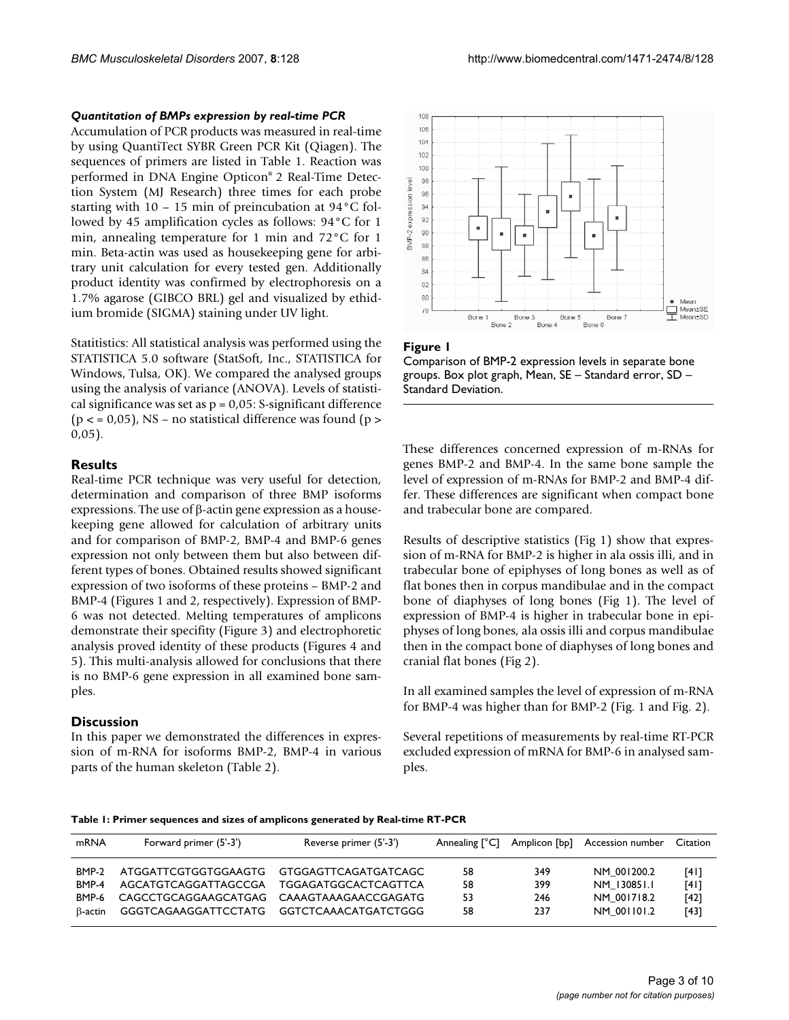#### *Quantitation of BMPs expression by real-time PCR*

Accumulation of PCR products was measured in real-time by using QuantiTect SYBR Green PCR Kit (Qiagen). The sequences of primers are listed in Table 1. Reaction was performed in DNA Engine Opticon® 2 Real-Time Detection System (MJ Research) three times for each probe starting with 10 – 15 min of preincubation at 94°C followed by 45 amplification cycles as follows: 94°C for 1 min, annealing temperature for 1 min and 72°C for 1 min. Beta-actin was used as housekeeping gene for arbitrary unit calculation for every tested gen. Additionally product identity was confirmed by electrophoresis on a 1.7% agarose (GIBCO BRL) gel and visualized by ethidium bromide (SIGMA) staining under UV light.

Statitistics: All statistical analysis was performed using the STATISTICA 5.0 software (StatSoft, Inc., STATISTICA for Windows, Tulsa, OK). We compared the analysed groups using the analysis of variance (ANOVA). Levels of statistical significance was set as  $p = 0.05$ : S-significant difference ( $p < 0.05$ ), NS – no statistical difference was found ( $p > 0.05$ )  $0,05$ ).

#### **Results**

Real-time PCR technique was very useful for detection, determination and comparison of three BMP isoforms expressions. The use of β-actin gene expression as a housekeeping gene allowed for calculation of arbitrary units and for comparison of BMP-2, BMP-4 and BMP-6 genes expression not only between them but also between different types of bones. Obtained results showed significant expression of two isoforms of these proteins – BMP-2 and BMP-4 (Figures 1 and 2, respectively). Expression of BMP-6 was not detected. Melting temperatures of amplicons demonstrate their specifity (Figure 3) and electrophoretic analysis proved identity of these products (Figures 4 and 5). This multi-analysis allowed for conclusions that there is no BMP-6 gene expression in all examined bone samples.

# **Discussion**

In this paper we demonstrated the differences in expression of m-RNA for isoforms BMP-2, BMP-4 in various parts of the human skeleton (Table 2).







These differences concerned expression of m-RNAs for genes BMP-2 and BMP-4. In the same bone sample the level of expression of m-RNAs for BMP-2 and BMP-4 differ. These differences are significant when compact bone and trabecular bone are compared.

Results of descriptive statistics (Fig 1) show that expression of m-RNA for BMP-2 is higher in ala ossis illi, and in trabecular bone of epiphyses of long bones as well as of flat bones then in corpus mandibulae and in the compact bone of diaphyses of long bones (Fig 1). The level of expression of BMP-4 is higher in trabecular bone in epiphyses of long bones, ala ossis illi and corpus mandibulae then in the compact bone of diaphyses of long bones and cranial flat bones (Fig 2).

In all examined samples the level of expression of m-RNA for BMP-4 was higher than for BMP-2 (Fig. 1 and Fig. 2).

Several repetitions of measurements by real-time RT-PCR excluded expression of mRNA for BMP-6 in analysed samples.

| mRNA    | Forward primer (5'-3')      | Reverse primer (5'-3')      | Annealing $[^{\circ}C]$ | Amplicon [bp] | Accession number | Citation |
|---------|-----------------------------|-----------------------------|-------------------------|---------------|------------------|----------|
| BMP-2   | ATGGATTCGTGGTGGAAGTG        | GTGGAGTTCAGATGATCAGC        | 58                      | 349           | NM 001200.2      | [4]      |
| BMP-4   | AGCATGTCAGGATTAGCCGA        | <b>TGGAGATGGCACTCAGTTCA</b> | 58                      | 399           | NM 130851.1      | [4]      |
| BMP-6   | CAGCCTGCAGGAAGCATGAG        | CAAAGTAAAGAACCGAGATG        | 53                      | 246           | NM 001718.2      | $[42]$   |
| B-actin | <b>GGGTCAGAAGGATTCCTATG</b> | GGTCTCAAACATGATCTGGG        | 58                      | 237           | NM 001101.2      | [43]     |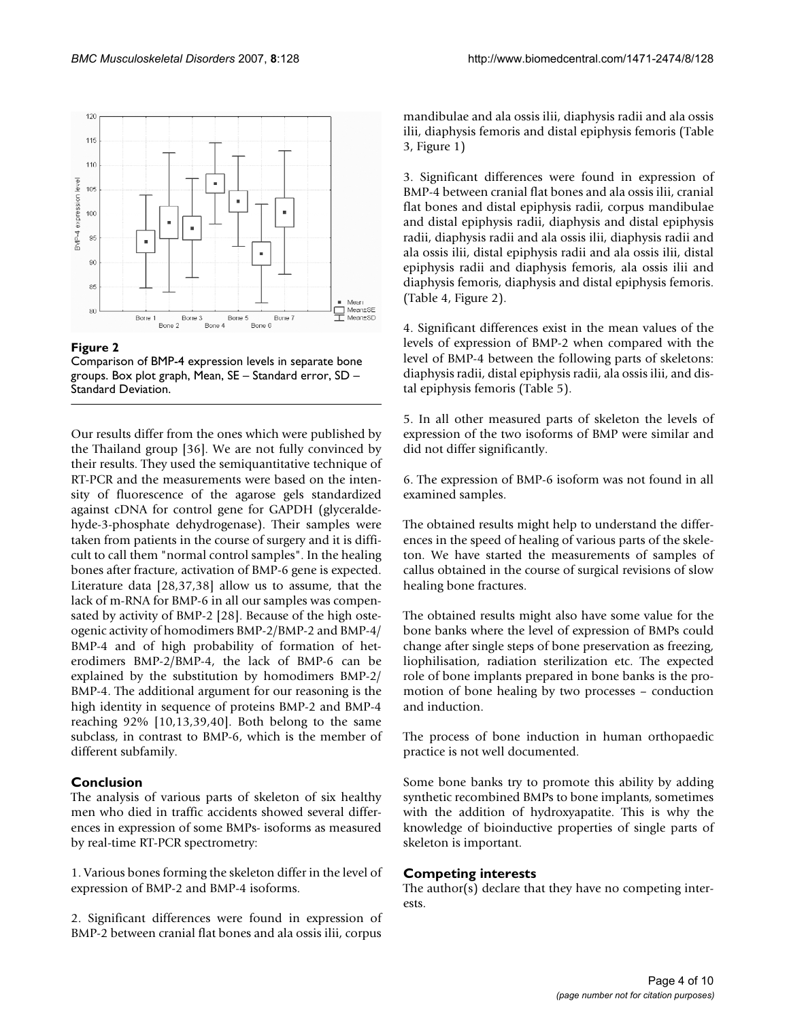



Comparison of BMP-4 expression levels in separate bone groups. Box plot graph, Mean, SE – Standard error, SD – Standard Deviation.

Our results differ from the ones which were published by the Thailand group [36]. We are not fully convinced by their results. They used the semiquantitative technique of RT-PCR and the measurements were based on the intensity of fluorescence of the agarose gels standardized against cDNA for control gene for GAPDH (glyceraldehyde-3-phosphate dehydrogenase). Their samples were taken from patients in the course of surgery and it is difficult to call them "normal control samples". In the healing bones after fracture, activation of BMP-6 gene is expected. Literature data [28,37,38] allow us to assume, that the lack of m-RNA for BMP-6 in all our samples was compensated by activity of BMP-2 [28]. Because of the high osteogenic activity of homodimers BMP-2/BMP-2 and BMP-4/ BMP-4 and of high probability of formation of heterodimers BMP-2/BMP-4, the lack of BMP-6 can be explained by the substitution by homodimers BMP-2/ BMP-4. The additional argument for our reasoning is the high identity in sequence of proteins BMP-2 and BMP-4 reaching 92% [10,13,39,40]. Both belong to the same subclass, in contrast to BMP-6, which is the member of different subfamily.

# **Conclusion**

The analysis of various parts of skeleton of six healthy men who died in traffic accidents showed several differences in expression of some BMPs- isoforms as measured by real-time RT-PCR spectrometry:

1. Various bones forming the skeleton differ in the level of expression of BMP-2 and BMP-4 isoforms.

2. Significant differences were found in expression of BMP-2 between cranial flat bones and ala ossis ilii, corpus mandibulae and ala ossis ilii, diaphysis radii and ala ossis ilii, diaphysis femoris and distal epiphysis femoris (Table 3, Figure 1)

3. Significant differences were found in expression of BMP-4 between cranial flat bones and ala ossis ilii, cranial flat bones and distal epiphysis radii, corpus mandibulae and distal epiphysis radii, diaphysis and distal epiphysis radii, diaphysis radii and ala ossis ilii, diaphysis radii and ala ossis ilii, distal epiphysis radii and ala ossis ilii, distal epiphysis radii and diaphysis femoris, ala ossis ilii and diaphysis femoris, diaphysis and distal epiphysis femoris. (Table 4, Figure 2).

4. Significant differences exist in the mean values of the levels of expression of BMP-2 when compared with the level of BMP-4 between the following parts of skeletons: diaphysis radii, distal epiphysis radii, ala ossis ilii, and distal epiphysis femoris (Table 5).

5. In all other measured parts of skeleton the levels of expression of the two isoforms of BMP were similar and did not differ significantly.

6. The expression of BMP-6 isoform was not found in all examined samples.

The obtained results might help to understand the differences in the speed of healing of various parts of the skeleton. We have started the measurements of samples of callus obtained in the course of surgical revisions of slow healing bone fractures.

The obtained results might also have some value for the bone banks where the level of expression of BMPs could change after single steps of bone preservation as freezing, liophilisation, radiation sterilization etc. The expected role of bone implants prepared in bone banks is the promotion of bone healing by two processes – conduction and induction.

The process of bone induction in human orthopaedic practice is not well documented.

Some bone banks try to promote this ability by adding synthetic recombined BMPs to bone implants, sometimes with the addition of hydroxyapatite. This is why the knowledge of bioinductive properties of single parts of skeleton is important.

### **Competing interests**

The author(s) declare that they have no competing interests.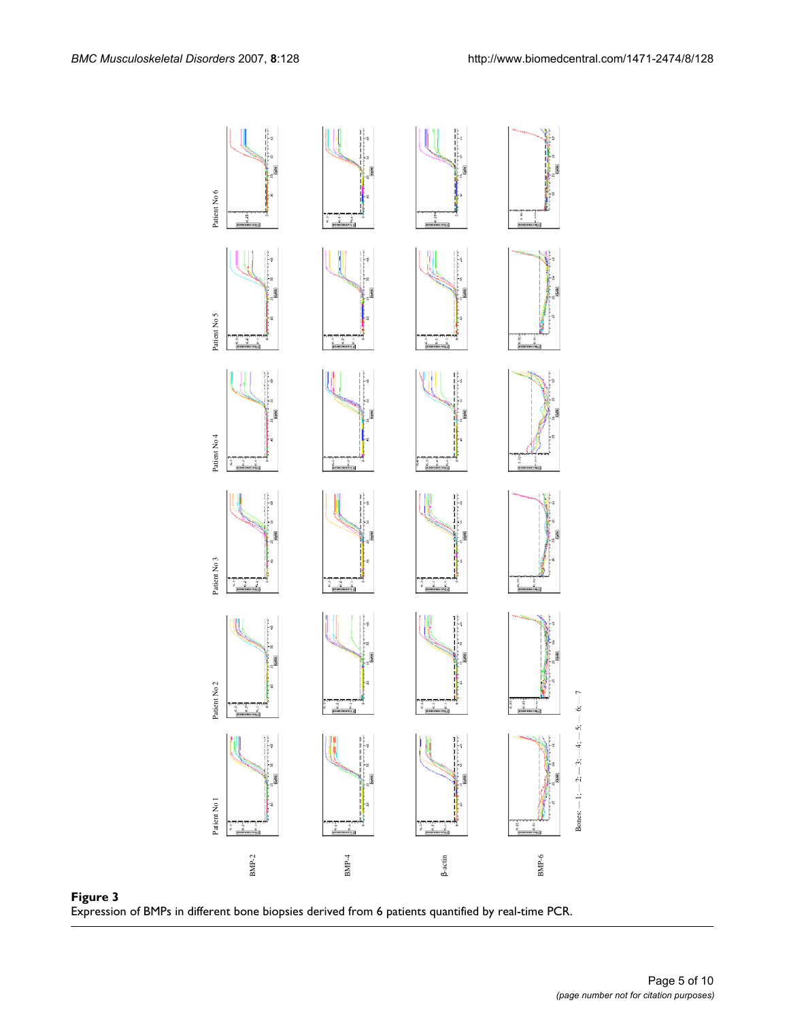

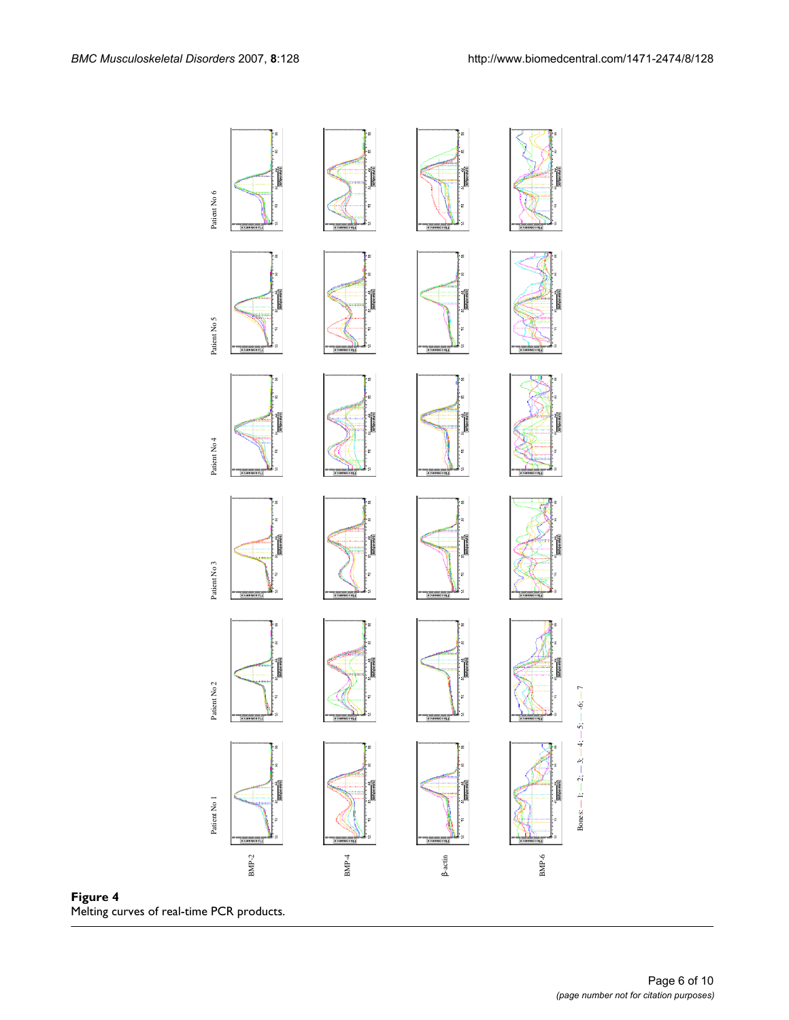



Bones:

 $-1; -2; -3; -4;$ 

 $-5; -6;$ 

— 7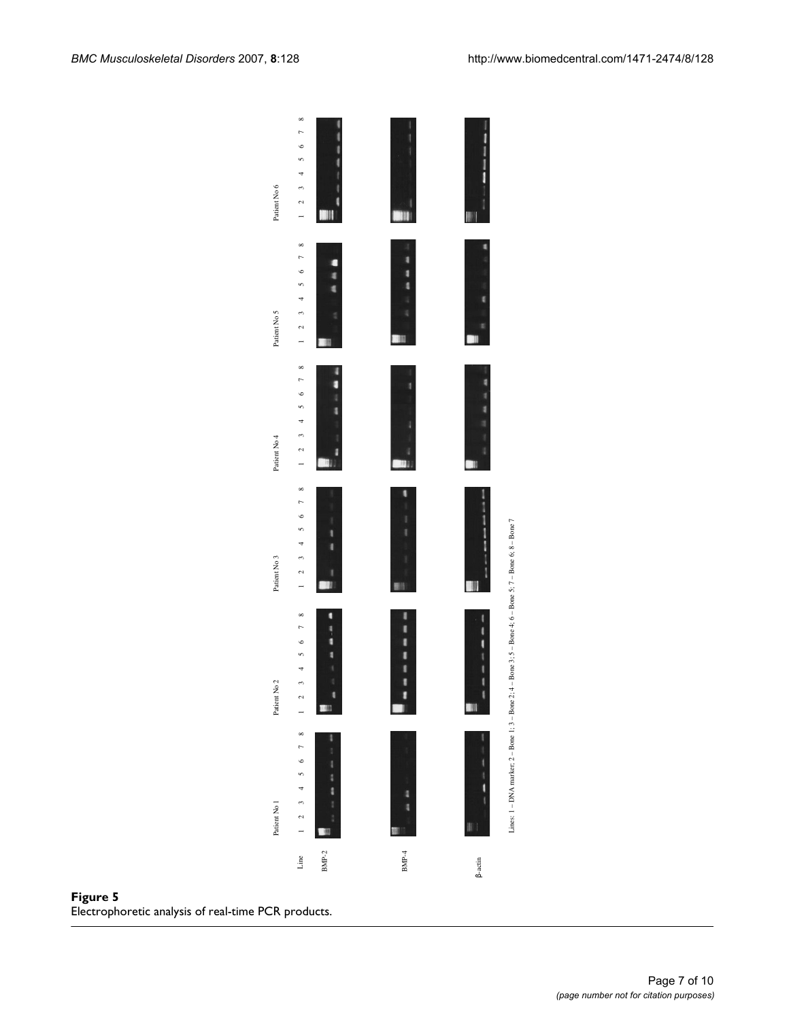

Figure 5<br>Electrophoretic analysis of real-time PCR products.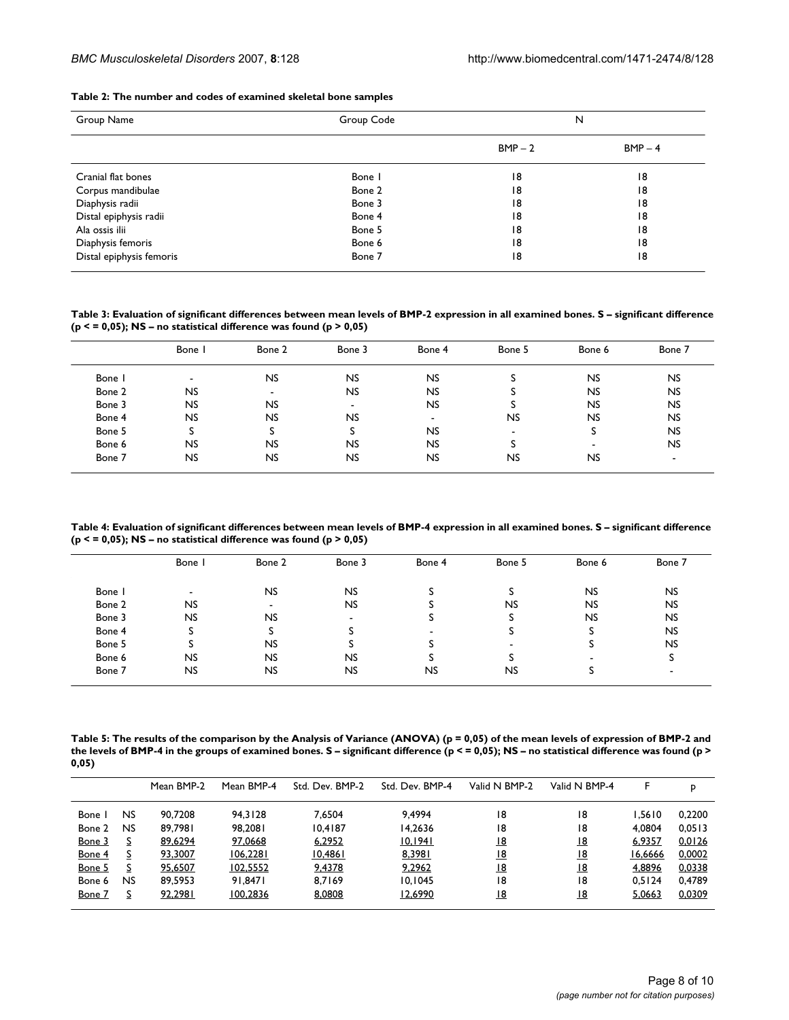#### **Table 2: The number and codes of examined skeletal bone samples**

| Group Name               | Group Code |           | N         |
|--------------------------|------------|-----------|-----------|
|                          |            | $BMP - 2$ | $BMP - 4$ |
| Cranial flat bones       | Bone I     | 18        | 18        |
| Corpus mandibulae        | Bone 2     | 18        | 18        |
| Diaphysis radii          | Bone 3     | 18        | 18        |
| Distal epiphysis radii   | Bone 4     | 18        | 18        |
| Ala ossis ilii           | Bone 5     | 18        | 18        |
| Diaphysis femoris        | Bone 6     | 18        | 18        |
| Distal epiphysis femoris | Bone 7     | 18        | 18        |

**Table 3: Evaluation of significant differences between mean levels of BMP-2 expression in all examined bones. S – significant difference (p < = 0,05); NS – no statistical difference was found (p > 0,05)**

|        | Bone      | Bone 2         | Bone 3                   | Bone 4                   | Bone 5                   | Bone 6                   | Bone 7         |
|--------|-----------|----------------|--------------------------|--------------------------|--------------------------|--------------------------|----------------|
| Bone I |           | <b>NS</b>      | <b>NS</b>                | <b>NS</b>                |                          | <b>NS</b>                | <b>NS</b>      |
| Bone 2 | NS        | $\blacksquare$ | <b>NS</b>                | <b>NS</b>                |                          | <b>NS</b>                | <b>NS</b>      |
| Bone 3 | NS        | <b>NS</b>      | $\overline{\phantom{a}}$ | <b>NS</b>                |                          | <b>NS</b>                | <b>NS</b>      |
| Bone 4 | <b>NS</b> | <b>NS</b>      | <b>NS</b>                | $\overline{\phantom{0}}$ | <b>NS</b>                | <b>NS</b>                | <b>NS</b>      |
| Bone 5 | s         |                | S                        | <b>NS</b>                | $\overline{\phantom{0}}$ | s                        | <b>NS</b>      |
| Bone 6 | NS        | <b>NS</b>      | <b>NS</b>                | <b>NS</b>                |                          | $\overline{\phantom{0}}$ | <b>NS</b>      |
| Bone 7 | NS        | <b>NS</b>      | <b>NS</b>                | <b>NS</b>                | <b>NS</b>                | <b>NS</b>                | $\blacksquare$ |

**Table 4: Evaluation of significant differences between mean levels of BMP-4 expression in all examined bones. S – significant difference (p < = 0,05); NS – no statistical difference was found (p > 0,05)**

|        | Bone I    | Bone 2                   | Bone 3                   | Bone 4    | Bone 5                   | Bone 6    | Bone 7    |
|--------|-----------|--------------------------|--------------------------|-----------|--------------------------|-----------|-----------|
| Bone   |           | <b>NS</b>                | <b>NS</b>                |           |                          | <b>NS</b> | <b>NS</b> |
| Bone 2 | <b>NS</b> | $\overline{\phantom{a}}$ | <b>NS</b>                | د         | <b>NS</b>                | <b>NS</b> | <b>NS</b> |
| Bone 3 | <b>NS</b> | <b>NS</b>                | $\overline{\phantom{a}}$ |           |                          | <b>NS</b> | <b>NS</b> |
| Bone 4 |           |                          |                          |           |                          | -3        | <b>NS</b> |
| Bone 5 |           | <b>NS</b>                |                          |           | $\overline{\phantom{0}}$ |           | <b>NS</b> |
| Bone 6 | NS.       | NS.                      | <b>NS</b>                |           |                          |           | S         |
| Bone 7 | NS.       | <b>NS</b>                | <b>NS</b>                | <b>NS</b> | <b>NS</b>                |           |           |

**Table 5: The results of the comparison by the Analysis of Variance (ANOVA) (p = 0,05) of the mean levels of expression of BMP-2 and**  the levels of BMP-4 in the groups of examined bones. S – significant difference (p < = 0,05); NS – no statistical difference was found (p > **0,05)**

|               |           | Mean BMP-2 | Mean BMP-4      | Std. Dev. BMP-2 | Std. Dev. BMP-4 | Valid N BMP-2 | Valid N BMP-4 |         | Þ      |
|---------------|-----------|------------|-----------------|-----------------|-----------------|---------------|---------------|---------|--------|
| Bone I        | NS        | 90.7208    | 94.3128         | 7.6504          | 9.4994          | 18            | 18            | .5610   | 0.2200 |
| Bone 2        | <b>NS</b> | 89,7981    | 98,2081         | 10.4187         | 14.2636         | 18            | 18            | 4.0804  | 0.0513 |
| <u>Bone 3</u> | <u>s</u>  | 89,6294    | 97,0668         | 6,2952          | 10,1941         | <u>18</u>     | <u>18</u>     | 6,9357  | 0,0126 |
| Bone 4        | S         | 93.3007    | 106.2281        | 10,4861         | 8.3981          | <u>18</u>     | 18            | 16.6666 | 0.0002 |
| Bone 5        | <u>s</u>  | 95,6507    | <u>102,5552</u> | 9,4378          | 9,2962          | <u> 18</u>    | <u>18</u>     | 4,8896  | 0,0338 |
| Bone 6        | <b>NS</b> | 89.5953    | 91.8471         | 8.7169          | 10.1045         | 18            | 18            | 0.5124  | 0.4789 |
| Bone 7        | <u>s</u>  | 92,2981    | 100,2836        | 8,0808          | 12,6990         | <u>18</u>     | <u>18</u>     | 5,0663  | 0,0309 |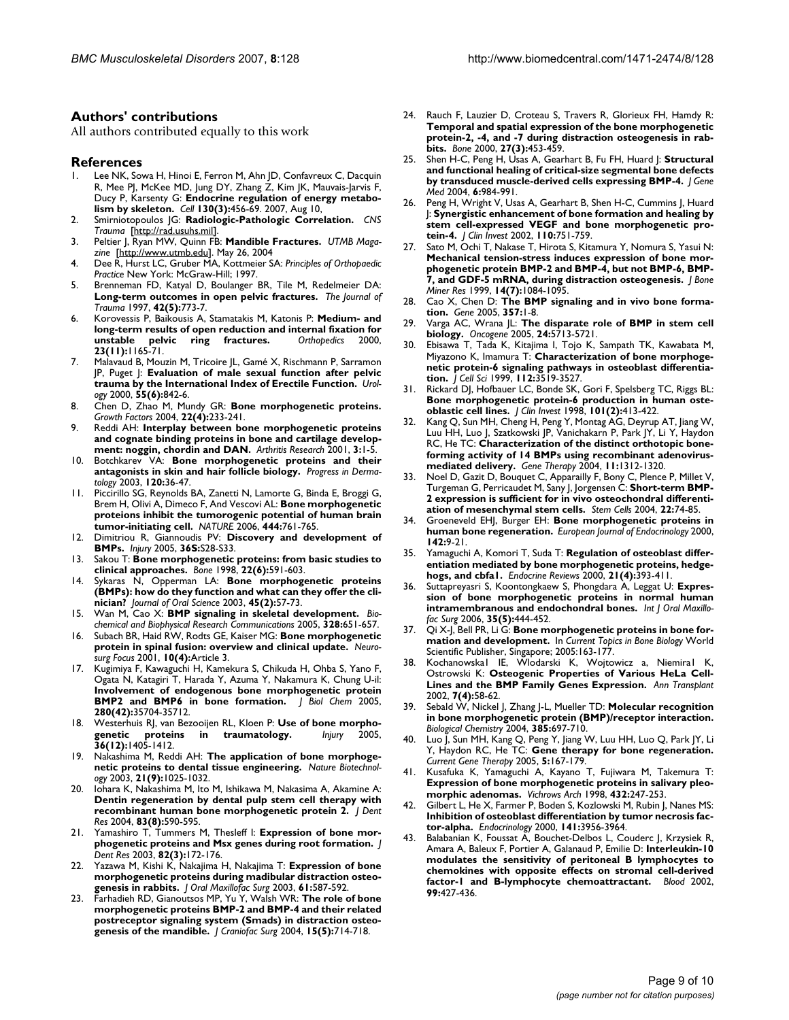#### **Authors' contributions**

All authors contributed equally to this work

#### **References**

- Lee NK, Sowa H, Hinoi E, Ferron M, Ahn JD, Confavreux C, Dacquin R, Mee PJ, McKee MD, Jung DY, Zhang Z, Kim JK, Mauvais-Jarvis F, Ducy P, Karsenty G: **[Endocrine regulation of energy metabo](http://www.ncbi.nlm.nih.gov/entrez/query.fcgi?cmd=Retrieve&db=PubMed&dopt=Abstract&list_uids=17693256)[lism by skeleton.](http://www.ncbi.nlm.nih.gov/entrez/query.fcgi?cmd=Retrieve&db=PubMed&dopt=Abstract&list_uids=17693256)** *Cell* **130(3):**456-69. 2007, Aug 10,
- 2. Smirniotopoulos JG: **Radiologic-Pathologic Correlation.** *CNS Trauma* [[http://rad.usuhs.mil\]](http://rad.usuhs.mil).
- 3. Peltier J, Ryan MW, Quinn FB: **Mandible Fractures.** *UTMB Magazine* [[http://www.utmb.edu\]](http://www.utmb.edu). May 26, 2004
- 4. Dee R, Hurst LC, Gruber MA, Kottmeier SA: *Principles of Orthopaedic Practice* New York: McGraw-Hill; 1997.
- 5. Brenneman FD, Katyal D, Boulanger BR, Tile M, Redelmeier DA: **[Long-term outcomes in open pelvic fractures.](http://www.ncbi.nlm.nih.gov/entrez/query.fcgi?cmd=Retrieve&db=PubMed&dopt=Abstract&list_uids=9191654)** *The Journal of Trauma* 1997, **42(5):**773-7.
- 6. Korovessis P, Baikousis A, Stamatakis M, Katonis P: **[Medium- and](http://www.ncbi.nlm.nih.gov/entrez/query.fcgi?cmd=Retrieve&db=PubMed&dopt=Abstract&list_uids=11103960) [long-term results of open reduction and internal fixation for](http://www.ncbi.nlm.nih.gov/entrez/query.fcgi?cmd=Retrieve&db=PubMed&dopt=Abstract&list_uids=11103960) [unstable pelvic ring fractures.](http://www.ncbi.nlm.nih.gov/entrez/query.fcgi?cmd=Retrieve&db=PubMed&dopt=Abstract&list_uids=11103960)** *Orthopedics* 2000, **23(11):**1165-71.
- 7. Malavaud B, Mouzin M, Tricoire JL, Gamé X, Rischmann P, Sarramon JP, Puget J: **[Evaluation of male sexual function after pelvic](http://www.ncbi.nlm.nih.gov/entrez/query.fcgi?cmd=Retrieve&db=PubMed&dopt=Abstract&list_uids=10840088) [trauma by the International Index of Erectile Function.](http://www.ncbi.nlm.nih.gov/entrez/query.fcgi?cmd=Retrieve&db=PubMed&dopt=Abstract&list_uids=10840088)** *Urology* 2000, **55(6):**842-6.
- 8. Chen D, Zhao M, Mundy GR: **[Bone morphogenetic proteins.](http://www.ncbi.nlm.nih.gov/entrez/query.fcgi?cmd=Retrieve&db=PubMed&dopt=Abstract&list_uids=15621726)** *Growth Factors* 2004, **22(4):**233-241.
- 9. Reddi AH: **[Interplay between bone morphogenetic proteins](http://www.ncbi.nlm.nih.gov/entrez/query.fcgi?cmd=Retrieve&db=PubMed&dopt=Abstract&list_uids=11178121) [and cognate binding proteins in bone and cartilage develop](http://www.ncbi.nlm.nih.gov/entrez/query.fcgi?cmd=Retrieve&db=PubMed&dopt=Abstract&list_uids=11178121)[ment: noggin, chordin and DAN.](http://www.ncbi.nlm.nih.gov/entrez/query.fcgi?cmd=Retrieve&db=PubMed&dopt=Abstract&list_uids=11178121)** *Arthritis Research* 2001, **3:**1-5.
- 10. Botchkarev VA: **Bone morphogenetic proteins and their antagonists in skin and hair follicle biology.** *Progress in Dermatology* 2003, **120:**36-47.
- 11. Piccirillo SG, Reynolds BA, Zanetti N, Lamorte G, Binda E, Broggi G, Brem H, Olivi A, Dimeco F, And Vescovi AL: **[Bone morphogenetic](http://www.ncbi.nlm.nih.gov/entrez/query.fcgi?cmd=Retrieve&db=PubMed&dopt=Abstract&list_uids=17151667) [proteions inhibit the tumorogenic potential of human brain](http://www.ncbi.nlm.nih.gov/entrez/query.fcgi?cmd=Retrieve&db=PubMed&dopt=Abstract&list_uids=17151667) [tumor-initiating cell.](http://www.ncbi.nlm.nih.gov/entrez/query.fcgi?cmd=Retrieve&db=PubMed&dopt=Abstract&list_uids=17151667)** *NATURE* 2006, **444:**761-765.
- 12. Dimitriou R, Giannoudis PV: **Discovery and development of BMPs.** *Injury* 2005, **36S:**S28-S33.
- 13. Sakou T: **[Bone morphogenetic proteins: from basic studies to](http://www.ncbi.nlm.nih.gov/entrez/query.fcgi?cmd=Retrieve&db=PubMed&dopt=Abstract&list_uids=9626397) [clinical approaches.](http://www.ncbi.nlm.nih.gov/entrez/query.fcgi?cmd=Retrieve&db=PubMed&dopt=Abstract&list_uids=9626397)** *Bone* 1998, **22(6):**591-603.
- Sykaras N, Opperman LA: [Bone morphogenetic proteins](http://www.ncbi.nlm.nih.gov/entrez/query.fcgi?cmd=Retrieve&db=PubMed&dopt=Abstract&list_uids=12930129) **[\(BMPs\): how do they function and what can they offer the cli](http://www.ncbi.nlm.nih.gov/entrez/query.fcgi?cmd=Retrieve&db=PubMed&dopt=Abstract&list_uids=12930129)[nician?](http://www.ncbi.nlm.nih.gov/entrez/query.fcgi?cmd=Retrieve&db=PubMed&dopt=Abstract&list_uids=12930129)** *Journal of Oral Science* 2003, **45(2):**57-73.
- 15. Wan M, Cao X: **BMP signaling in skeletal development.** *Biochemical and Biophysical Research Communications* 2005, **328:**651-657.
- 16. Subach BR, Haid RW, Rodts GE, Kaiser MG: **Bone morphogenetic protein in spinal fusion: overview and clinical update.** *Neurosurg Focus* 2001, **10(4):**Article 3.
- 17. Kugimiya F, Kawaguchi H, Kamekura S, Chikuda H, Ohba S, Yano F, Ogata N, Katagiri T, Harada Y, Azuma Y, Nakamura K, Chung U-il: **[Involvement of endogenous bone morphogenetic protein](http://www.ncbi.nlm.nih.gov/entrez/query.fcgi?cmd=Retrieve&db=PubMed&dopt=Abstract&list_uids=16109715) [BMP2 and BMP6 in bone formation.](http://www.ncbi.nlm.nih.gov/entrez/query.fcgi?cmd=Retrieve&db=PubMed&dopt=Abstract&list_uids=16109715)** *J Biol Chem* 2005, **280(42):**35704-35712.
- 18. Westerhuis RJ, van Bezooijen RL, Kloen P: Use of bone morpho-<br>genetic proteins in traumatology. *Injury* 2005, **[genetic proteins in traumatology.](http://www.ncbi.nlm.nih.gov/entrez/query.fcgi?cmd=Retrieve&db=PubMed&dopt=Abstract&list_uids=16125704)** *Injury* 2005, **36(12):**1405-1412.
- 19. Nakashima M, Reddi AH: **[The application of bone morphoge](http://www.ncbi.nlm.nih.gov/entrez/query.fcgi?cmd=Retrieve&db=PubMed&dopt=Abstract&list_uids=12949568)[netic proteins to dental tissue engineering.](http://www.ncbi.nlm.nih.gov/entrez/query.fcgi?cmd=Retrieve&db=PubMed&dopt=Abstract&list_uids=12949568)** *Nature Biotechnology* 2003, **21(9):**1025-1032.
- 20. Iohara K, Nakashima M, Ito M, Ishikawa M, Nakasima A, Akamine A: **[Dentin regeneration by dental pulp stem cell therapy with](http://www.ncbi.nlm.nih.gov/entrez/query.fcgi?cmd=Retrieve&db=PubMed&dopt=Abstract&list_uids=15271965) [recombinant human bone morphogenetic protein 2.](http://www.ncbi.nlm.nih.gov/entrez/query.fcgi?cmd=Retrieve&db=PubMed&dopt=Abstract&list_uids=15271965)** *J Dent Res* 2004, **83(8):**590-595.
- 21. Yamashiro T, Tummers M, Thesleff I: **[Expression of bone mor](http://www.ncbi.nlm.nih.gov/entrez/query.fcgi?cmd=Retrieve&db=PubMed&dopt=Abstract&list_uids=12598544)[phogenetic proteins and Msx genes during root formation.](http://www.ncbi.nlm.nih.gov/entrez/query.fcgi?cmd=Retrieve&db=PubMed&dopt=Abstract&list_uids=12598544)** *J Dent Res* 2003, **82(3):**172-176.
- 22. Yazawa M, Kishi K, Nakajima H, Nakajima T: **[Expression of bone](http://www.ncbi.nlm.nih.gov/entrez/query.fcgi?cmd=Retrieve&db=PubMed&dopt=Abstract&list_uids=12730838) [morphogenetic proteins during madibular distraction osteo](http://www.ncbi.nlm.nih.gov/entrez/query.fcgi?cmd=Retrieve&db=PubMed&dopt=Abstract&list_uids=12730838)[genesis in rabbits.](http://www.ncbi.nlm.nih.gov/entrez/query.fcgi?cmd=Retrieve&db=PubMed&dopt=Abstract&list_uids=12730838)** *J Oral Maxillofac Surg* 2003, **61:**587-592.
- 23. Farhadieh RD, Gianoutsos MP, Yu Y, Walsh WR: **[The role of bone](http://www.ncbi.nlm.nih.gov/entrez/query.fcgi?cmd=Retrieve&db=PubMed&dopt=Abstract&list_uids=15346005) morphogenetic proteins BMP-2 and BMP-4 and their related [postreceptor signaling system \(Smads\) in distraction osteo](http://www.ncbi.nlm.nih.gov/entrez/query.fcgi?cmd=Retrieve&db=PubMed&dopt=Abstract&list_uids=15346005)[genesis of the mandible.](http://www.ncbi.nlm.nih.gov/entrez/query.fcgi?cmd=Retrieve&db=PubMed&dopt=Abstract&list_uids=15346005)** *J Craniofac Surg* 2004, **15(5):**714-718.
- 24. Rauch F, Lauzier D, Croteau S, Travers R, Glorieux FH, Hamdy R: **Temporal and spatial expression of the bone morphogenetic [protein-2, -4, and -7 during distraction osteogenesis in rab](http://www.ncbi.nlm.nih.gov/entrez/query.fcgi?cmd=Retrieve&db=PubMed&dopt=Abstract&list_uids=10962359)[bits.](http://www.ncbi.nlm.nih.gov/entrez/query.fcgi?cmd=Retrieve&db=PubMed&dopt=Abstract&list_uids=10962359)** *Bone* 2000, **27(3):**453-459.
- 25. Shen H-C, Peng H, Usas A, Gearhart B, Fu FH, Huard J: **[Structural](http://www.ncbi.nlm.nih.gov/entrez/query.fcgi?cmd=Retrieve&db=PubMed&dopt=Abstract&list_uids=15352071) [and functional healing of critical-size segmental bone defects](http://www.ncbi.nlm.nih.gov/entrez/query.fcgi?cmd=Retrieve&db=PubMed&dopt=Abstract&list_uids=15352071) [by transduced muscle-derived cells expressing BMP-4.](http://www.ncbi.nlm.nih.gov/entrez/query.fcgi?cmd=Retrieve&db=PubMed&dopt=Abstract&list_uids=15352071)** *J Gene Med* 2004, **6:**984-991.
- Peng H, Wright V, Usas A, Gearhart B, Shen H-C, Cummins J, Huard J: **[Synergistic enhancement of bone formation and healing by](http://www.ncbi.nlm.nih.gov/entrez/query.fcgi?cmd=Retrieve&db=PubMed&dopt=Abstract&list_uids=12235106) [stem cell-expressed VEGF and bone morphogenetic pro](http://www.ncbi.nlm.nih.gov/entrez/query.fcgi?cmd=Retrieve&db=PubMed&dopt=Abstract&list_uids=12235106)[tein-4.](http://www.ncbi.nlm.nih.gov/entrez/query.fcgi?cmd=Retrieve&db=PubMed&dopt=Abstract&list_uids=12235106)** *J Clin Invest* 2002, **110:**751-759.
- 27. Sato M, Ochi T, Nakase T, Hirota S, Kitamura Y, Nomura S, Yasui N: **Mechanical tension-stress induces expression of bone mor[phogenetic protein BMP-2 and BMP-4, but not BMP-6, BMP-](http://www.ncbi.nlm.nih.gov/entrez/query.fcgi?cmd=Retrieve&db=PubMed&dopt=Abstract&list_uids=10404008)[7, and GDF-5 mRNA, during distraction osteogenesis.](http://www.ncbi.nlm.nih.gov/entrez/query.fcgi?cmd=Retrieve&db=PubMed&dopt=Abstract&list_uids=10404008)** *J Bone Miner Res* 1999, **14(7):**1084-1095.
- 28. Cao X, Chen D: **[The BMP signaling and in vivo bone forma](http://www.ncbi.nlm.nih.gov/entrez/query.fcgi?cmd=Retrieve&db=PubMed&dopt=Abstract&list_uids=16125875)[tion.](http://www.ncbi.nlm.nih.gov/entrez/query.fcgi?cmd=Retrieve&db=PubMed&dopt=Abstract&list_uids=16125875)** *Gene* 2005, **357:**1-8.
- 29. Varga AC, Wrana JL: **[The disparate role of BMP in stem cell](http://www.ncbi.nlm.nih.gov/entrez/query.fcgi?cmd=Retrieve&db=PubMed&dopt=Abstract&list_uids=16123804) [biology.](http://www.ncbi.nlm.nih.gov/entrez/query.fcgi?cmd=Retrieve&db=PubMed&dopt=Abstract&list_uids=16123804)** *Oncogene* 2005, **24:**5713-5721.
- 30. Ebisawa T, Tada K, Kitajima I, Tojo K, Sampath TK, Kawabata M, Miyazono K, Imamura T: **[Characterization of bone morphoge](http://www.ncbi.nlm.nih.gov/entrez/query.fcgi?cmd=Retrieve&db=PubMed&dopt=Abstract&list_uids=10504300)[netic protein-6 signaling pathways in osteoblast differentia](http://www.ncbi.nlm.nih.gov/entrez/query.fcgi?cmd=Retrieve&db=PubMed&dopt=Abstract&list_uids=10504300)[tion.](http://www.ncbi.nlm.nih.gov/entrez/query.fcgi?cmd=Retrieve&db=PubMed&dopt=Abstract&list_uids=10504300)** *J Cell Sci* 1999, **112:**3519-3527.
- Rickard DJ, Hofbauer LC, Bonde SK, Gori F, Spelsberg TC, Riggs BL: **[Bone morphogenetic protein-6 production in human oste](http://www.ncbi.nlm.nih.gov/entrez/query.fcgi?cmd=Retrieve&db=PubMed&dopt=Abstract&list_uids=9435314)[oblastic cell lines.](http://www.ncbi.nlm.nih.gov/entrez/query.fcgi?cmd=Retrieve&db=PubMed&dopt=Abstract&list_uids=9435314)** *J Clin Invest* 1998, **101(2):**413-422.
- 32. Kang Q, Sun MH, Cheng H, Peng Y, Montag AG, Deyrup AT, Jiang W, Luu HH, Luo J, Szatkowski JP, Vanichakarn P, Park JY, Li Y, Haydon RC, He TC: **[Characterization of the distinct orthotopic bone](http://www.ncbi.nlm.nih.gov/entrez/query.fcgi?cmd=Retrieve&db=PubMed&dopt=Abstract&list_uids=15269709)[forming activity of 14 BMPs using recombinant adenovirus](http://www.ncbi.nlm.nih.gov/entrez/query.fcgi?cmd=Retrieve&db=PubMed&dopt=Abstract&list_uids=15269709)[mediated delivery.](http://www.ncbi.nlm.nih.gov/entrez/query.fcgi?cmd=Retrieve&db=PubMed&dopt=Abstract&list_uids=15269709)** *Gene Therapy* 2004, **11:**1312-1320.
- 33. Noel D, Gazit D, Bouquet C, Apparailly F, Bony C, Plence P, Millet V, Turgeman G, Perricaudet M, Sany J, Jorgensen C: **[Short-term BMP-](http://www.ncbi.nlm.nih.gov/entrez/query.fcgi?cmd=Retrieve&db=PubMed&dopt=Abstract&list_uids=14688393)[2 expression is sufficient for in vivo osteochondral differenti](http://www.ncbi.nlm.nih.gov/entrez/query.fcgi?cmd=Retrieve&db=PubMed&dopt=Abstract&list_uids=14688393)[ation of mesenchymal stem cells.](http://www.ncbi.nlm.nih.gov/entrez/query.fcgi?cmd=Retrieve&db=PubMed&dopt=Abstract&list_uids=14688393)** *Stem Cells* 2004, **22:**74-85.
- 34. Groeneveld EHJ, Burger EH: **[Bone morphogenetic proteins in](http://www.ncbi.nlm.nih.gov/entrez/query.fcgi?cmd=Retrieve&db=PubMed&dopt=Abstract&list_uids=10633215) [human bone regeneration.](http://www.ncbi.nlm.nih.gov/entrez/query.fcgi?cmd=Retrieve&db=PubMed&dopt=Abstract&list_uids=10633215)** *European Journal of Endocrinology* 2000, **142:**9-21.
- 35. Yamaguchi A, Komori T, Suda T: **[Regulation of osteoblast differ](http://www.ncbi.nlm.nih.gov/entrez/query.fcgi?cmd=Retrieve&db=PubMed&dopt=Abstract&list_uids=10950158)[entiation mediated by bone morphogenetic proteins, hedge](http://www.ncbi.nlm.nih.gov/entrez/query.fcgi?cmd=Retrieve&db=PubMed&dopt=Abstract&list_uids=10950158)[hogs, and cbfa1.](http://www.ncbi.nlm.nih.gov/entrez/query.fcgi?cmd=Retrieve&db=PubMed&dopt=Abstract&list_uids=10950158)** *Endocrine Reviews* 2000, **21(4):**393-411.
- 36. Suttapreyasri S, Koontongkaew S, Phongdara A, Leggat U: **[Expres](http://www.ncbi.nlm.nih.gov/entrez/query.fcgi?cmd=Retrieve&db=PubMed&dopt=Abstract&list_uids=16513322)[sion of bone morphogenetic proteins in normal human](http://www.ncbi.nlm.nih.gov/entrez/query.fcgi?cmd=Retrieve&db=PubMed&dopt=Abstract&list_uids=16513322) [intramembranous and endochondral bones.](http://www.ncbi.nlm.nih.gov/entrez/query.fcgi?cmd=Retrieve&db=PubMed&dopt=Abstract&list_uids=16513322)** *Int J Oral Maxillofac Surg* 2006, **35(5):**444-452.
- 37. Qi X-J, Bell PR, Li G: **Bone morphogenetic proteins in bone formation and development.** In *Current Topics in Bone Biology* World Scientific Publisher, Singapore; 2005:163-177.
- Kochanowska1 IE, Wlodarski K, Wojtowicz a, Niemiral K, Ostrowski K: [Osteogenic Properties of Various HeLa Cell-](http://www.ncbi.nlm.nih.gov/entrez/query.fcgi?cmd=Retrieve&db=PubMed&dopt=Abstract&list_uids=12854351)**[Lines and the BMP Family Genes Expression.](http://www.ncbi.nlm.nih.gov/entrez/query.fcgi?cmd=Retrieve&db=PubMed&dopt=Abstract&list_uids=12854351)** *Ann Transplant* 2002, **7(4):**58-62.
- 39. Sebald W, Nickel J, Zhang J-L, Mueller TD: **[Molecular recognition](http://www.ncbi.nlm.nih.gov/entrez/query.fcgi?cmd=Retrieve&db=PubMed&dopt=Abstract&list_uids=15449706) [in bone morphogenetic protein \(BMP\)/receptor interaction.](http://www.ncbi.nlm.nih.gov/entrez/query.fcgi?cmd=Retrieve&db=PubMed&dopt=Abstract&list_uids=15449706)** *Biological Chemistry* 2004, **385:**697-710.
- 40. Luo J, Sun MH, Kang Q, Peng Y, Jiang W, Luu HH, Luo Q, Park JY, Li Y, Haydon RC, He TC: **[Gene therapy for bone regeneration.](http://www.ncbi.nlm.nih.gov/entrez/query.fcgi?cmd=Retrieve&db=PubMed&dopt=Abstract&list_uids=15853725)** *Current Gene Therapy* 2005, **5:**167-179.
- 41. Kusafuka K, Yamaguchi A, Kayano T, Fujiwara M, Takemura T: **Expression of bone morphogenetic proteins in salivary pleomorphic adenomas.** *Vichrows Arch* 1998, **432:**247-253.
- Gilbert L, He X, Farmer P, Boden S, Kozlowski M, Rubin J, Nanes MS: **[Inhibition of osteoblast differentiation by tumor necrosis fac](http://www.ncbi.nlm.nih.gov/entrez/query.fcgi?cmd=Retrieve&db=PubMed&dopt=Abstract&list_uids=11089525)[tor-alpha.](http://www.ncbi.nlm.nih.gov/entrez/query.fcgi?cmd=Retrieve&db=PubMed&dopt=Abstract&list_uids=11089525)** *Endocrinology* 2000, **141:**3956-3964.
- 43. Balabanian K, Foussat A, Bouchet-Delbos L, Couderc J, Krzysiek R, Amara A, Baleux F, Portier A, Galanaud P, Emilie D: **[Interleukin-10](http://www.ncbi.nlm.nih.gov/entrez/query.fcgi?cmd=Retrieve&db=PubMed&dopt=Abstract&list_uids=11781221) modulates the sensitivity of peritoneal B lymphocytes to [chemokines with opposite effects on stromal cell-derived](http://www.ncbi.nlm.nih.gov/entrez/query.fcgi?cmd=Retrieve&db=PubMed&dopt=Abstract&list_uids=11781221) [factor-1 and B-lymphocyte chemoattractant.](http://www.ncbi.nlm.nih.gov/entrez/query.fcgi?cmd=Retrieve&db=PubMed&dopt=Abstract&list_uids=11781221)** *Blood* 2002, **99:**427-436.